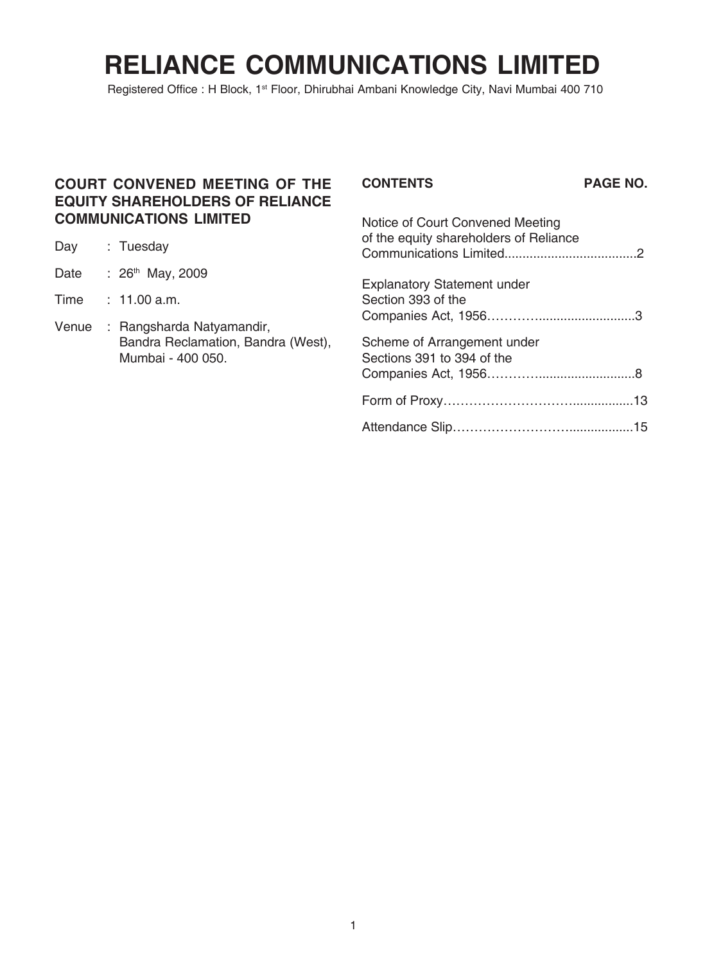# **RELIANCE COMMUNICATIONS LIMITED**

Registered Office : H Block, 1st Floor, Dhirubhai Ambani Knowledge City, Navi Mumbai 400 710

**CONTENTS PAGE NO.**

Notice of Court Convened Meeting

# **COURT CONVENED MEETING OF THE EQUITY SHAREHOLDERS OF RELIANCE COMMUNICATIONS LIMITED**

| Day   | : Tuesday                          | of the equity shareholders of Reliance |  |
|-------|------------------------------------|----------------------------------------|--|
|       | Date : 26 <sup>th</sup> May, 2009  | <b>Explanatory Statement under</b>     |  |
| Time  | : 11.00 a.m.                       | Section 393 of the                     |  |
| Venue | : Rangsharda Natyamandir,          |                                        |  |
|       | Bandra Reclamation, Bandra (West), | Scheme of Arrangement under            |  |
|       | Mumbai - 400 050.                  | Sections 391 to 394 of the             |  |
|       |                                    |                                        |  |
|       |                                    |                                        |  |
|       |                                    |                                        |  |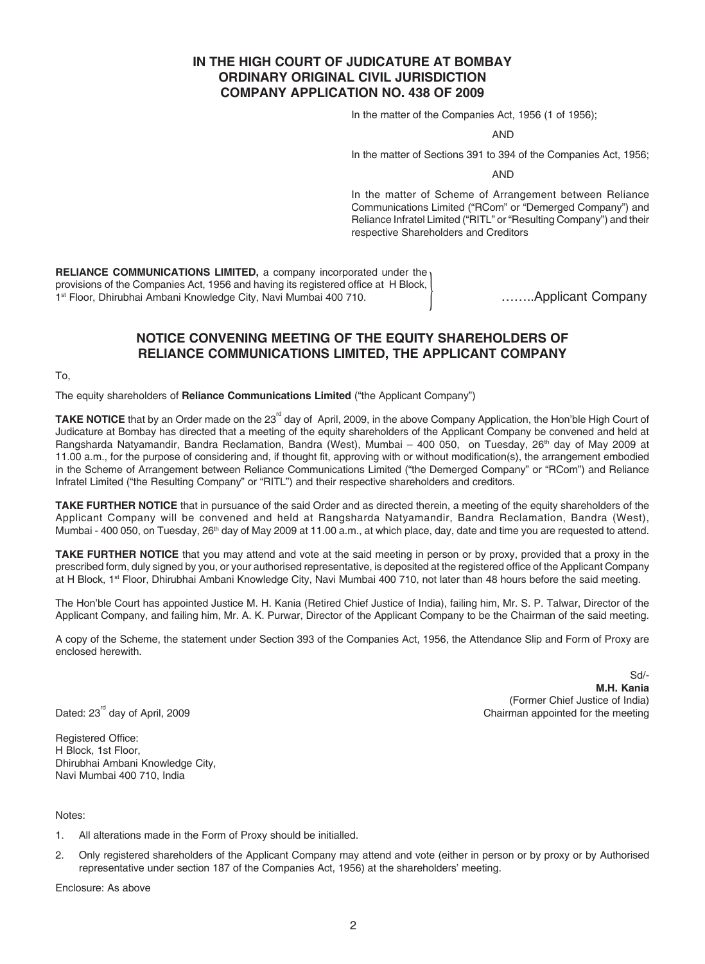# **IN THE HIGH COURT OF JUDICATURE AT BOMBAY ORDINARY ORIGINAL CIVIL JURISDICTION COMPANY APPLICATION NO. 438 OF 2009**

In the matter of the Companies Act, 1956 (1 of 1956);

AND

In the matter of Sections 391 to 394 of the Companies Act, 1956;

AND

In the matter of Scheme of Arrangement between Reliance Communications Limited ("RCom" or "Demerged Company") and Reliance Infratel Limited ("RITL" or "Resulting Company") and their respective Shareholders and Creditors

**RELIANCE COMMUNICATIONS LIMITED,** a company incorporated under the provisions of the Companies Act, 1956 and having its registered office at H Block, 1st Floor, Dhirubhai Ambani Knowledge City, Navi Mumbai 400 710.

........Applicant Company

### **NOTICE CONVENING MEETING OF THE EQUITY SHAREHOLDERS OF RELIANCE COMMUNICATIONS LIMITED, THE APPLICANT COMPANY**

To,

The equity shareholders of **Reliance Communications Limited** ("the Applicant Company")

TAKE NOTICE that by an Order made on the 23<sup>rd</sup> day of April, 2009, in the above Company Application, the Hon'ble High Court of Judicature at Bombay has directed that a meeting of the equity shareholders of the Applicant Company be convened and held at Rangsharda Natyamandir, Bandra Reclamation, Bandra (West), Mumbai – 400 050, on Tuesday, 26<sup>th</sup> day of May 2009 at 11.00 a.m., for the purpose of considering and, if thought fit, approving with or without modification(s), the arrangement embodied in the Scheme of Arrangement between Reliance Communications Limited ("the Demerged Company" or "RCom") and Reliance Infratel Limited ("the Resulting Company" or "RITL") and their respective shareholders and creditors.

**TAKE FURTHER NOTICE** that in pursuance of the said Order and as directed therein, a meeting of the equity shareholders of the Applicant Company will be convened and held at Rangsharda Natyamandir, Bandra Reclamation, Bandra (West), Mumbai - 400 050, on Tuesday, 26<sup>th</sup> day of May 2009 at 11.00 a.m., at which place, day, date and time you are requested to attend.

**TAKE FURTHER NOTICE** that you may attend and vote at the said meeting in person or by proxy, provided that a proxy in the prescribed form, duly signed by you, or your authorised representative, is deposited at the registered office of the Applicant Company at H Block, 1<sup>st</sup> Floor, Dhirubhai Ambani Knowledge City, Navi Mumbai 400 710, not later than 48 hours before the said meeting.

The Hon'ble Court has appointed Justice M. H. Kania (Retired Chief Justice of India), failing him, Mr. S. P. Talwar, Director of the Applicant Company, and failing him, Mr. A. K. Purwar, Director of the Applicant Company to be the Chairman of the said meeting.

A copy of the Scheme, the statement under Section 393 of the Companies Act, 1956, the Attendance Slip and Form of Proxy are enclosed herewith.

Sd/- **M.H. Kania** (Former Chief Justice of India) Dated: 23<sup>rd</sup> day of April, 2009 Chairman appointed for the meeting

Registered Office: H Block, 1st Floor, Dhirubhai Ambani Knowledge City, Navi Mumbai 400 710, India

#### Notes:

- 1. All alterations made in the Form of Proxy should be initialled.
- 2. Only registered shareholders of the Applicant Company may attend and vote (either in person or by proxy or by Authorised representative under section 187 of the Companies Act, 1956) at the shareholders' meeting.

Enclosure: As above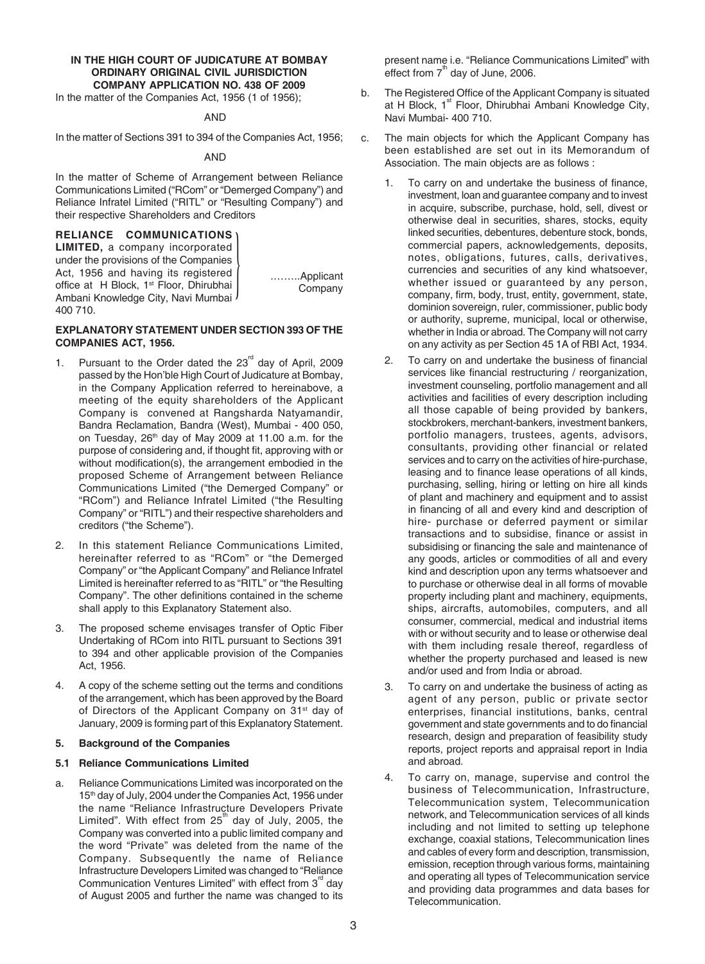#### **IN THE HIGH COURT OF JUDICATURE AT BOMBAY ORDINARY ORIGINAL CIVIL JURISDICTION COMPANY APPLICATION NO. 438 OF 2009**

In the matter of the Companies Act, 1956 (1 of 1956);

#### AND

In the matter of Sections 391 to 394 of the Companies Act, 1956;

#### AND

In the matter of Scheme of Arrangement between Reliance Communications Limited ("RCom" or "Demerged Company") and Reliance Infratel Limited ("RITL" or "Resulting Company") and their respective Shareholders and Creditors

#### **RELIANCE COMMUNICATIONS**

**LIMITED,** a company incorporated under the provisions of the Companies Act, 1956 and having its registered office at H Block, 1<sup>st</sup> Floor, Dhirubhai Ambani Knowledge City, Navi Mumbai 400 710.

.……..Applicant } Company

#### **EXPLANATORY STATEMENT UNDER SECTION 393 OF THE COMPANIES ACT, 1956.**

- Pursuant to the Order dated the  $23<sup>rd</sup>$  day of April, 2009 passed by the Hon'ble High Court of Judicature at Bombay, in the Company Application referred to hereinabove, a meeting of the equity shareholders of the Applicant Company is convened at Rangsharda Natyamandir, Bandra Reclamation, Bandra (West), Mumbai - 400 050, on Tuesday, 26<sup>th</sup> day of May 2009 at 11.00 a.m. for the purpose of considering and, if thought fit, approving with or without modification(s), the arrangement embodied in the proposed Scheme of Arrangement between Reliance Communications Limited ("the Demerged Company" or "RCom") and Reliance Infratel Limited ("the Resulting Company" or "RITL") and their respective shareholders and creditors ("the Scheme").
- 2. In this statement Reliance Communications Limited, hereinafter referred to as "RCom" or "the Demerged Company" or "the Applicant Company" and Reliance Infratel Limited is hereinafter referred to as "RITL" or "the Resulting Company". The other definitions contained in the scheme shall apply to this Explanatory Statement also.
- 3. The proposed scheme envisages transfer of Optic Fiber Undertaking of RCom into RITL pursuant to Sections 391 to 394 and other applicable provision of the Companies Act, 1956.
- 4. A copy of the scheme setting out the terms and conditions of the arrangement, which has been approved by the Board of Directors of the Applicant Company on 31<sup>st</sup> day of January, 2009 is forming part of this Explanatory Statement.

#### **5. Background of the Companies**

#### **5.1 Reliance Communications Limited**

a. Reliance Communications Limited was incorporated on the 15<sup>th</sup> day of July, 2004 under the Companies Act, 1956 under the name "Reliance Infrastructure Developers Private Limited". With effect from  $25<sup>m</sup>$  day of July, 2005, the Company was converted into a public limited company and the word "Private" was deleted from the name of the Company. Subsequently the name of Reliance Infrastructure Developers Limited was changed to "Reliance Communication Ventures Limited" with effect from 3<sup>rd</sup> day of August 2005 and further the name was changed to its present name i.e. "Reliance Communications Limited" with effect from  $7<sup>th</sup>$  day of June, 2006.

- b. The Registered Office of the Applicant Company is situated at H Block,  $1^{st}$  Floor, Dhirubhai Ambani Knowledge City, Navi Mumbai- 400 710.
- c. The main objects for which the Applicant Company has been established are set out in its Memorandum of Association. The main objects are as follows :
	- 1. To carry on and undertake the business of finance, investment, loan and guarantee company and to invest in acquire, subscribe, purchase, hold, sell, divest or otherwise deal in securities, shares, stocks, equity linked securities, debentures, debenture stock, bonds, commercial papers, acknowledgements, deposits, notes, obligations, futures, calls, derivatives, currencies and securities of any kind whatsoever, whether issued or guaranteed by any person, company, firm, body, trust, entity, government, state, dominion sovereign, ruler, commissioner, public body or authority, supreme, municipal, local or otherwise, whether in India or abroad. The Company will not carry on any activity as per Section 45 1A of RBI Act, 1934.
	- 2. To carry on and undertake the business of financial services like financial restructuring / reorganization, investment counseling, portfolio management and all activities and facilities of every description including all those capable of being provided by bankers, stockbrokers, merchant-bankers, investment bankers, portfolio managers, trustees, agents, advisors, consultants, providing other financial or related services and to carry on the activities of hire-purchase, leasing and to finance lease operations of all kinds, purchasing, selling, hiring or letting on hire all kinds of plant and machinery and equipment and to assist in financing of all and every kind and description of hire- purchase or deferred payment or similar transactions and to subsidise, finance or assist in subsidising or financing the sale and maintenance of any goods, articles or commodities of all and every kind and description upon any terms whatsoever and to purchase or otherwise deal in all forms of movable property including plant and machinery, equipments, ships, aircrafts, automobiles, computers, and all consumer, commercial, medical and industrial items with or without security and to lease or otherwise deal with them including resale thereof, regardless of whether the property purchased and leased is new and/or used and from India or abroad.
	- 3. To carry on and undertake the business of acting as agent of any person, public or private sector enterprises, financial institutions, banks, central government and state governments and to do financial research, design and preparation of feasibility study reports, project reports and appraisal report in India and abroad.
	- 4. To carry on, manage, supervise and control the business of Telecommunication, Infrastructure, Telecommunication system, Telecommunication network, and Telecommunication services of all kinds including and not limited to setting up telephone exchange, coaxial stations, Telecommunication lines and cables of every form and description, transmission, emission, reception through various forms, maintaining and operating all types of Telecommunication service and providing data programmes and data bases for Telecommunication.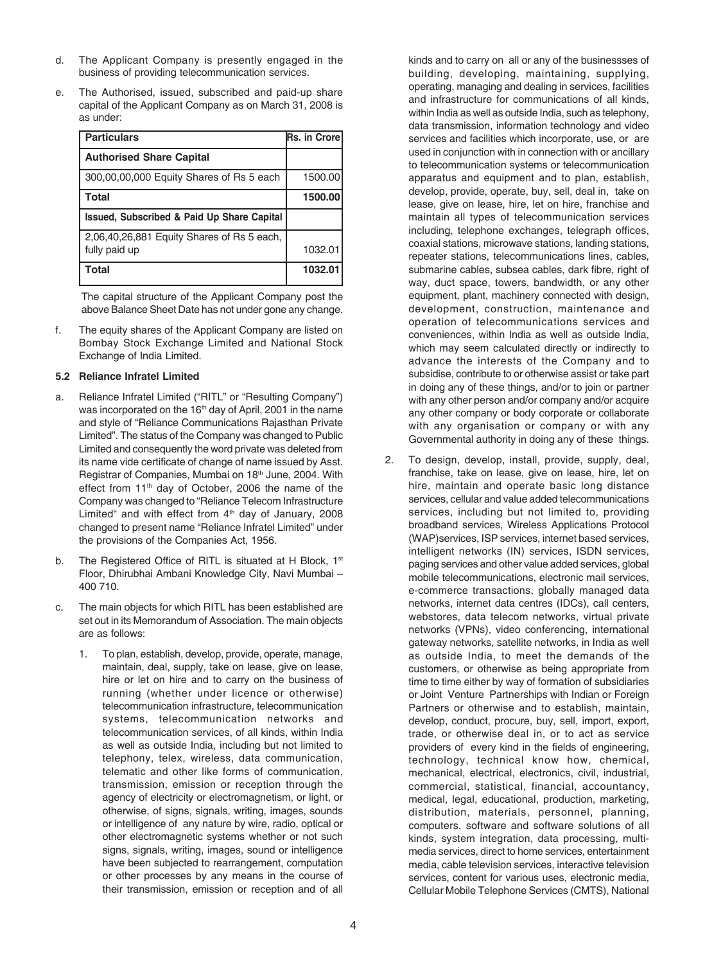- d. The Applicant Company is presently engaged in the business of providing telecommunication services.
- e. The Authorised, issued, subscribed and paid-up share capital of the Applicant Company as on March 31, 2008 is as under:

| <b>Particulars</b>                                          | <b>Rs. in Crore</b> |
|-------------------------------------------------------------|---------------------|
| <b>Authorised Share Capital</b>                             |                     |
| 300,00,00,000 Equity Shares of Rs 5 each                    | 1500.00             |
| <b>Total</b>                                                | 1500.00             |
| Issued, Subscribed & Paid Up Share Capital                  |                     |
| 2,06,40,26,881 Equity Shares of Rs 5 each,<br>fully paid up | 1032.01             |
| <b>Total</b>                                                | 1032.01             |

The capital structure of the Applicant Company post the above Balance Sheet Date has not under gone any change.

f. The equity shares of the Applicant Company are listed on Bombay Stock Exchange Limited and National Stock Exchange of India Limited.

#### **5.2 Reliance Infratel Limited**

- a. Reliance Infratel Limited ("RITL" or "Resulting Company") was incorporated on the 16<sup>th</sup> day of April, 2001 in the name and style of "Reliance Communications Rajasthan Private Limited". The status of the Company was changed to Public Limited and consequently the word private was deleted from its name vide certificate of change of name issued by Asst. Registrar of Companies, Mumbai on 18th June, 2004. With effect from 11<sup>th</sup> day of October, 2006 the name of the Company was changed to "Reliance Telecom Infrastructure Limited" and with effect from 4<sup>th</sup> day of January, 2008 changed to present name "Reliance Infratel Limited" under the provisions of the Companies Act, 1956.
- b. The Registered Office of RITL is situated at H Block, 1st Floor, Dhirubhai Ambani Knowledge City, Navi Mumbai – 400 710.
- c. The main objects for which RITL has been established are set out in its Memorandum of Association. The main objects are as follows:
	- 1. To plan, establish, develop, provide, operate, manage, maintain, deal, supply, take on lease, give on lease, hire or let on hire and to carry on the business of running (whether under licence or otherwise) telecommunication infrastructure, telecommunication systems, telecommunication networks and telecommunication services, of all kinds, within India as well as outside India, including but not limited to telephony, telex, wireless, data communication, telematic and other like forms of communication, transmission, emission or reception through the agency of electricity or electromagnetism, or light, or otherwise, of signs, signals, writing, images, sounds or intelligence of any nature by wire, radio, optical or other electromagnetic systems whether or not such signs, signals, writing, images, sound or intelligence have been subjected to rearrangement, computation or other processes by any means in the course of their transmission, emission or reception and of all

kinds and to carry on all or any of the businessses of building, developing, maintaining, supplying, operating, managing and dealing in services, facilities and infrastructure for communications of all kinds, within India as well as outside India, such as telephony, data transmission, information technology and video services and facilities which incorporate, use, or are used in conjunction with in connection with or ancillary to telecommunication systems or telecommunication apparatus and equipment and to plan, establish, develop, provide, operate, buy, sell, deal in, take on lease, give on lease, hire, let on hire, franchise and maintain all types of telecommunication services including, telephone exchanges, telegraph offices, coaxial stations, microwave stations, landing stations, repeater stations, telecommunications lines, cables, submarine cables, subsea cables, dark fibre, right of way, duct space, towers, bandwidth, or any other equipment, plant, machinery connected with design, development, construction, maintenance and operation of telecommunications services and conveniences, within India as well as outside India, which may seem calculated directly or indirectly to advance the interests of the Company and to subsidise, contribute to or otherwise assist or take part in doing any of these things, and/or to join or partner with any other person and/or company and/or acquire any other company or body corporate or collaborate with any organisation or company or with any Governmental authority in doing any of these things.

2. To design, develop, install, provide, supply, deal, franchise, take on lease, give on lease, hire, let on hire, maintain and operate basic long distance services, cellular and value added telecommunications services, including but not limited to, providing broadband services, Wireless Applications Protocol (WAP)services, ISP services, internet based services, intelligent networks (IN) services, ISDN services, paging services and other value added services, global mobile telecommunications, electronic mail services, e-commerce transactions, globally managed data networks, internet data centres (IDCs), call centers, webstores, data telecom networks, virtual private networks (VPNs), video conferencing, international gateway networks, satellite networks, in India as well as outside India, to meet the demands of the customers, or otherwise as being appropriate from time to time either by way of formation of subsidiaries or Joint Venture Partnerships with Indian or Foreign Partners or otherwise and to establish, maintain, develop, conduct, procure, buy, sell, import, export, trade, or otherwise deal in, or to act as service providers of every kind in the fields of engineering, technology, technical know how, chemical, mechanical, electrical, electronics, civil, industrial, commercial, statistical, financial, accountancy, medical, legal, educational, production, marketing, distribution, materials, personnel, planning, computers, software and software solutions of all kinds, system integration, data processing, multimedia services, direct to home services, entertainment media, cable television services, interactive television services, content for various uses, electronic media, Cellular Mobile Telephone Services (CMTS), National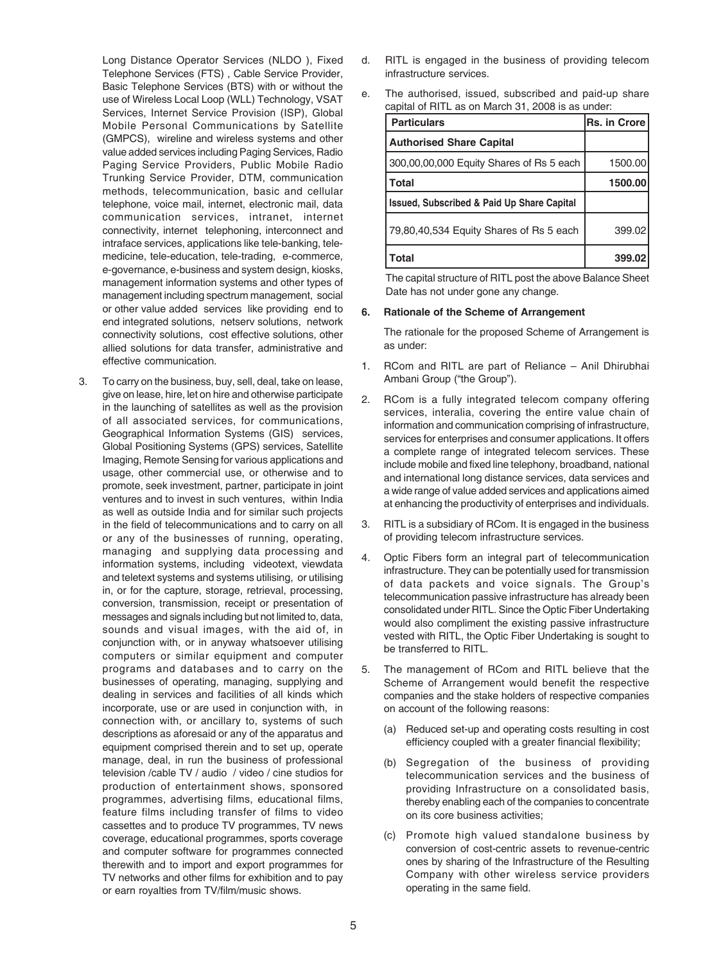Long Distance Operator Services (NLDO ), Fixed Telephone Services (FTS) , Cable Service Provider, Basic Telephone Services (BTS) with or without the use of Wireless Local Loop (WLL) Technology, VSAT Services, Internet Service Provision (ISP), Global Mobile Personal Communications by Satellite (GMPCS), wireline and wireless systems and other value added services including Paging Services, Radio Paging Service Providers, Public Mobile Radio Trunking Service Provider, DTM, communication methods, telecommunication, basic and cellular telephone, voice mail, internet, electronic mail, data communication services, intranet, internet connectivity, internet telephoning, interconnect and intraface services, applications like tele-banking, telemedicine, tele-education, tele-trading, e-commerce, e-governance, e-business and system design, kiosks, management information systems and other types of management including spectrum management, social or other value added services like providing end to end integrated solutions, netserv solutions, network connectivity solutions, cost effective solutions, other allied solutions for data transfer, administrative and effective communication.

3. To carry on the business, buy, sell, deal, take on lease, give on lease, hire, let on hire and otherwise participate in the launching of satellites as well as the provision of all associated services, for communications, Geographical Information Systems (GIS) services, Global Positioning Systems (GPS) services, Satellite Imaging, Remote Sensing for various applications and usage, other commercial use, or otherwise and to promote, seek investment, partner, participate in joint ventures and to invest in such ventures, within India as well as outside India and for similar such projects in the field of telecommunications and to carry on all or any of the businesses of running, operating, managing and supplying data processing and information systems, including videotext, viewdata and teletext systems and systems utilising, or utilising in, or for the capture, storage, retrieval, processing, conversion, transmission, receipt or presentation of messages and signals including but not limited to, data, sounds and visual images, with the aid of, in conjunction with, or in anyway whatsoever utilising computers or similar equipment and computer programs and databases and to carry on the businesses of operating, managing, supplying and dealing in services and facilities of all kinds which incorporate, use or are used in conjunction with, in connection with, or ancillary to, systems of such descriptions as aforesaid or any of the apparatus and equipment comprised therein and to set up, operate manage, deal, in run the business of professional television /cable TV / audio / video / cine studios for production of entertainment shows, sponsored programmes, advertising films, educational films, feature films including transfer of films to video cassettes and to produce TV programmes, TV news coverage, educational programmes, sports coverage and computer software for programmes connected therewith and to import and export programmes for TV networks and other films for exhibition and to pay or earn royalties from TV/film/music shows.

- d. RITL is engaged in the business of providing telecom infrastructure services.
- e. The authorised, issued, subscribed and paid-up share capital of RITL as on March 31, 2008 is as under:

| <b>Particulars</b>                         | Rs. in Crore |
|--------------------------------------------|--------------|
| <b>Authorised Share Capital</b>            |              |
| 300,00,00,000 Equity Shares of Rs 5 each   | 1500.00      |
| <b>Total</b>                               | 1500.00      |
| Issued, Subscribed & Paid Up Share Capital |              |
| 79,80,40,534 Equity Shares of Rs 5 each    | 399.02       |
| Total                                      | 399.0        |

The capital structure of RITL post the above Balance Sheet Date has not under gone any change.

#### **6. Rationale of the Scheme of Arrangement**

The rationale for the proposed Scheme of Arrangement is as under:

- 1. RCom and RITL are part of Reliance Anil Dhirubhai Ambani Group ("the Group").
- 2. RCom is a fully integrated telecom company offering services, interalia, covering the entire value chain of information and communication comprising of infrastructure, services for enterprises and consumer applications. It offers a complete range of integrated telecom services. These include mobile and fixed line telephony, broadband, national and international long distance services, data services and a wide range of value added services and applications aimed at enhancing the productivity of enterprises and individuals.
- 3. RITL is a subsidiary of RCom. It is engaged in the business of providing telecom infrastructure services.
- 4. Optic Fibers form an integral part of telecommunication infrastructure. They can be potentially used for transmission of data packets and voice signals. The Group's telecommunication passive infrastructure has already been consolidated under RITL. Since the Optic Fiber Undertaking would also compliment the existing passive infrastructure vested with RITL, the Optic Fiber Undertaking is sought to be transferred to RITL.
- 5. The management of RCom and RITL believe that the Scheme of Arrangement would benefit the respective companies and the stake holders of respective companies on account of the following reasons:
	- (a) Reduced set-up and operating costs resulting in cost efficiency coupled with a greater financial flexibility;
	- (b) Segregation of the business of providing telecommunication services and the business of providing Infrastructure on a consolidated basis, thereby enabling each of the companies to concentrate on its core business activities;
	- (c) Promote high valued standalone business by conversion of cost-centric assets to revenue-centric ones by sharing of the Infrastructure of the Resulting Company with other wireless service providers operating in the same field.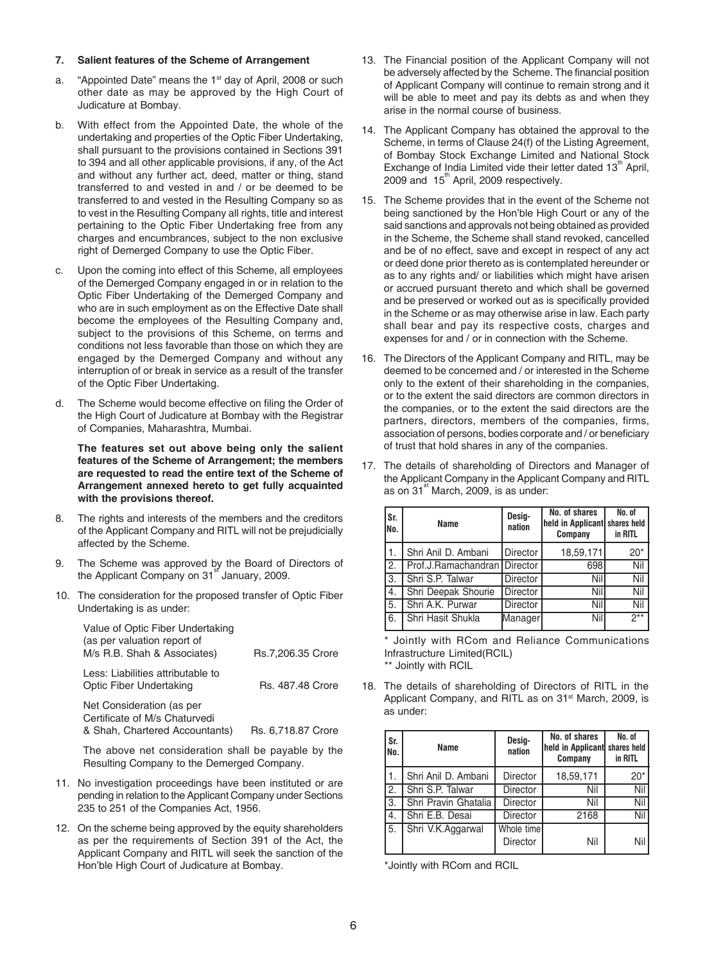#### **7. Salient features of the Scheme of Arrangement**

- a. "Appointed Date" means the 1<sup>st</sup> day of April, 2008 or such other date as may be approved by the High Court of Judicature at Bombay.
- b. With effect from the Appointed Date, the whole of the undertaking and properties of the Optic Fiber Undertaking, shall pursuant to the provisions contained in Sections 391 to 394 and all other applicable provisions, if any, of the Act and without any further act, deed, matter or thing, stand transferred to and vested in and / or be deemed to be transferred to and vested in the Resulting Company so as to vest in the Resulting Company all rights, title and interest pertaining to the Optic Fiber Undertaking free from any charges and encumbrances, subject to the non exclusive right of Demerged Company to use the Optic Fiber.
- c. Upon the coming into effect of this Scheme, all employees of the Demerged Company engaged in or in relation to the Optic Fiber Undertaking of the Demerged Company and who are in such employment as on the Effective Date shall become the employees of the Resulting Company and, subject to the provisions of this Scheme, on terms and conditions not less favorable than those on which they are engaged by the Demerged Company and without any interruption of or break in service as a result of the transfer of the Optic Fiber Undertaking.
- d. The Scheme would become effective on filing the Order of the High Court of Judicature at Bombay with the Registrar of Companies, Maharashtra, Mumbai.

**The features set out above being only the salient features of the Scheme of Arrangement; the members are requested to read the entire text of the Scheme of Arrangement annexed hereto to get fully acquainted with the provisions thereof.**

- The rights and interests of the members and the creditors of the Applicant Company and RITL will not be prejudicially affected by the Scheme.
- 9. The Scheme was approved by the Board of Directors of the Applicant Company on 31<sup>st</sup> January, 2009.
- 10. The consideration for the proposed transfer of Optic Fiber Undertaking is as under:

| Value of Optic Fiber Undertaking<br>(as per valuation report of<br>M/s R.B. Shah & Associates) | Rs.7,206.35 Crore       |
|------------------------------------------------------------------------------------------------|-------------------------|
| Less: Liabilities attributable to<br>Optic Fiber Undertaking                                   | <b>Rs. 487.48 Crore</b> |
| Net Consideration (as per<br>Certificate of M/s Chaturvedi<br>& Shah, Chartered Accountants)   | Rs. 6,718.87 Crore      |

The above net consideration shall be payable by the Resulting Company to the Demerged Company.

- 11. No investigation proceedings have been instituted or are pending in relation to the Applicant Company under Sections 235 to 251 of the Companies Act, 1956.
- 12. On the scheme being approved by the equity shareholders as per the requirements of Section 391 of the Act, the Applicant Company and RITL will seek the sanction of the Hon'ble High Court of Judicature at Bombay.
- 13. The Financial position of the Applicant Company will not be adversely affected by the Scheme. The financial position of Applicant Company will continue to remain strong and it will be able to meet and pay its debts as and when they arise in the normal course of business.
- 14. The Applicant Company has obtained the approval to the Scheme, in terms of Clause 24(f) of the Listing Agreement, of Bombay Stock Exchange Limited and National Stock Exchange of India Limited vide their letter dated  $13<sup>m</sup>$  April, 2009 and  $15<sup>th</sup>$  April, 2009 respectively.
- 15. The Scheme provides that in the event of the Scheme not being sanctioned by the Hon'ble High Court or any of the said sanctions and approvals not being obtained as provided in the Scheme, the Scheme shall stand revoked, cancelled and be of no effect, save and except in respect of any act or deed done prior thereto as is contemplated hereunder or as to any rights and/ or liabilities which might have arisen or accrued pursuant thereto and which shall be governed and be preserved or worked out as is specifically provided in the Scheme or as may otherwise arise in law. Each party shall bear and pay its respective costs, charges and expenses for and / or in connection with the Scheme.
- 16. The Directors of the Applicant Company and RITL, may be deemed to be concerned and / or interested in the Scheme only to the extent of their shareholding in the companies, or to the extent the said directors are common directors in the companies, or to the extent the said directors are the partners, directors, members of the companies, firms, association of persons, bodies corporate and / or beneficiary of trust that hold shares in any of the companies.
- 17. The details of shareholding of Directors and Manager of the Applicant Company in the Applicant Company and RITL as on  $31<sup>st</sup>$  March, 2009, is as under:

| Sr.<br>INo.      | Name                         | Desig-<br>nation | No. of shares<br>held in Applicant shares held<br>Company | No. of<br>in RITL |
|------------------|------------------------------|------------------|-----------------------------------------------------------|-------------------|
| 1.               | Shri Anil D. Ambani          | Director         | 18,59,171                                                 | $20*$             |
| $\overline{2}$ . | Prof.J.Ramachandran Director |                  | 698                                                       | Nil               |
| 3.               | Shri S.P. Talwar             | <b>Director</b>  | Nil                                                       | Nil               |
| 4.               | Shri Deepak Shourie          | <b>Director</b>  | Nil                                                       | Nil               |
| 5.               | Shri A.K. Purwar             | <b>Director</b>  | Nil                                                       | Nil               |
| 6.               | Shri Hasit Shukla            | Manager          | Nil                                                       | $2**$             |

Jointly with RCom and Reliance Communications Infrastructure Limited(RCIL)

\*\* Jointly with RCIL

18. The details of shareholding of Directors of RITL in the Applicant Company, and RITL as on 31<sup>st</sup> March, 2009, is as under:

| Sr.<br>No. | Name                 | Desig-<br>nation | No. of shares<br>held in Applicant shares held<br>Company | No. of<br>in RITL |
|------------|----------------------|------------------|-----------------------------------------------------------|-------------------|
|            | Shri Anil D. Ambani  | <b>Director</b>  | 18,59,171                                                 | $20*$             |
| 2.         | Shri S.P. Talwar     | <b>Director</b>  | Nil                                                       | Nil               |
| 3.         | Shri Pravin Ghatalia | <b>Director</b>  | Nil                                                       | Nil               |
| 4.         | Shri E.B. Desai      | <b>Director</b>  | 2168                                                      | Nil               |
| 5.         | Shri V.K.Aggarwal    | Whole time       |                                                           |                   |
|            |                      | <b>Director</b>  | Nil                                                       | Nil               |

\*Jointly with RCom and RCIL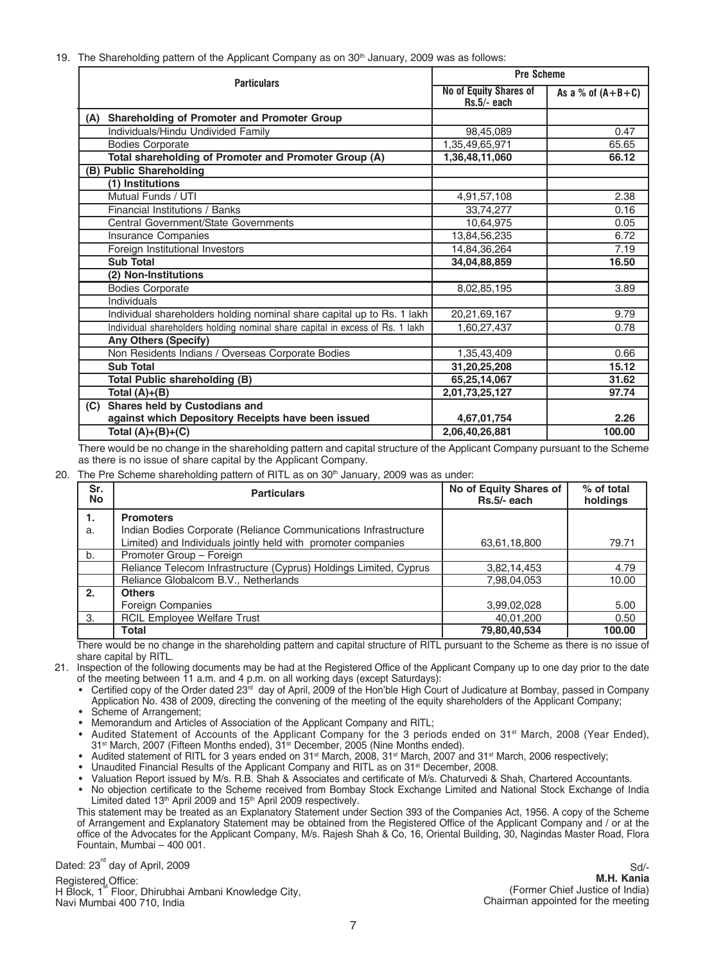#### 19. The Shareholding pattern of the Applicant Company as on  $30<sup>th</sup>$  January, 2009 was as follows:

| <b>Particulars</b>                                                            | <b>Pre Scheme</b>                       |                     |
|-------------------------------------------------------------------------------|-----------------------------------------|---------------------|
|                                                                               | No of Equity Shares of<br>$Rs.5/-$ each | As a % of $(A+B+C)$ |
| Shareholding of Promoter and Promoter Group<br>(A)                            |                                         |                     |
| Individuals/Hindu Undivided Family                                            | 98,45,089                               | 0.47                |
| <b>Bodies Corporate</b>                                                       | 1,35,49,65,971                          | 65.65               |
| Total shareholding of Promoter and Promoter Group (A)                         | 1,36,48,11,060                          | 66.12               |
| (B) Public Shareholding                                                       |                                         |                     |
| (1) Institutions                                                              |                                         |                     |
| Mutual Funds / UTI                                                            | 4,91,57,108                             | 2.38                |
| Financial Institutions / Banks                                                | 33,74,277                               | 0.16                |
| Central Government/State Governments                                          | 10,64,975                               | 0.05                |
| Insurance Companies                                                           | 13.84.56.235                            | 6.72                |
| Foreign Institutional Investors                                               | 14,84,36,264                            | 7.19                |
| <b>Sub Total</b>                                                              | 34,04,88,859                            | 16.50               |
| (2) Non-Institutions                                                          |                                         |                     |
| <b>Bodies Corporate</b>                                                       | 8,02,85,195                             | 3.89                |
| Individuals                                                                   |                                         |                     |
| Individual shareholders holding nominal share capital up to Rs. 1 lakh        | 20,21,69,167                            | 9.79                |
| Individual shareholders holding nominal share capital in excess of Rs. 1 lakh | 1,60,27,437                             | 0.78                |
| <b>Any Others (Specify)</b>                                                   |                                         |                     |
| Non Residents Indians / Overseas Corporate Bodies                             | 1,35,43,409                             | 0.66                |
| <b>Sub Total</b>                                                              | 31,20,25,208                            | 15.12               |
| Total Public shareholding (B)                                                 | 65,25,14,067                            | 31.62               |
| Total $(A)+(B)$                                                               | 2,01,73,25,127                          | 97.74               |
| Shares held by Custodians and<br>(C)                                          |                                         |                     |
| against which Depository Receipts have been issued                            | 4,67,01,754                             | 2.26                |
| Total $(A)+(B)+(C)$                                                           | 2,06,40,26,881                          | 100.00              |

There would be no change in the shareholding pattern and capital structure of the Applicant Company pursuant to the Scheme as there is no issue of share capital by the Applicant Company.

#### 20. The Pre Scheme shareholding pattern of RITL as on  $30<sup>th</sup>$  January, 2009 was as under:

| Sr.<br>No | <b>Particulars</b>                                                | No of Equity Shares of<br>Rs.5/- each | % of total<br>holdings |
|-----------|-------------------------------------------------------------------|---------------------------------------|------------------------|
| 1.        | <b>Promoters</b>                                                  |                                       |                        |
| a.        | Indian Bodies Corporate (Reliance Communications Infrastructure   |                                       |                        |
|           | Limited) and Individuals jointly held with promoter companies     | 63,61,18,800                          | 79.71                  |
| $b$ .     | Promoter Group - Foreign                                          |                                       |                        |
|           | Reliance Telecom Infrastructure (Cyprus) Holdings Limited, Cyprus | 3,82,14,453                           | 4.79                   |
|           | Reliance Globalcom B.V., Netherlands                              | 7,98,04,053                           | 10.00                  |
| 2.        | <b>Others</b>                                                     |                                       |                        |
|           | <b>Foreign Companies</b>                                          | 3,99,02,028                           | 5.00                   |
| 3.        | <b>RCIL Employee Welfare Trust</b>                                | 40.01.200                             | 0.50                   |
|           | Total                                                             | 79,80,40,534                          | 100.00                 |

There would be no change in the shareholding pattern and capital structure of RITL pursuant to the Scheme as there is no issue of share capital by RITL.

21. Inspection of the following documents may be had at the Registered Office of the Applicant Company up to one day prior to the date of the meeting between 11 a.m. and 4 p.m. on all working days (except Saturdays):

- Certified copy of the Order dated 23<sup>rd</sup> day of April, 2009 of the Hon'ble High Court of Judicature at Bombay, passed in Company Application No. 438 of 2009, directing the convening of the meeting of the equity shareholders of the Applicant Company;
- Scheme of Arrangement;
- Memorandum and Articles of Association of the Applicant Company and RITL;
- Audited Statement of Accounts of the Applicant Company for the 3 periods ended on 31<sup>st</sup> March, 2008 (Year Ended), 31<sup>st</sup> March, 2007 (Fifteen Months ended), 31<sup>st</sup> December, 2005 (Nine Months ended).
- Audited statement of RITL for 3 years ended on 31<sup>st</sup> March, 2008, 31<sup>st</sup> March, 2007 and 31<sup>st</sup> March, 2006 respectively;
- Unaudited Financial Results of the Applicant Company and RITL as on 31<sup>st</sup> December, 2008.
- Valuation Report issued by M/s. R.B. Shah & Associates and certificate of M/s. Chaturvedi & Shah, Chartered Accountants. • No objection certificate to the Scheme received from Bombay Stock Exchange Limited and National Stock Exchange of India
- Limited dated 13<sup>th</sup> April 2009 and 15<sup>th</sup> April 2009 respectively.

This statement may be treated as an Explanatory Statement under Section 393 of the Companies Act, 1956. A copy of the Scheme of Arrangement and Explanatory Statement may be obtained from the Registered Office of the Applicant Company and / or at the office of the Advocates for the Applicant Company, M/s. Rajesh Shah & Co, 16, Oriental Building, 30, Nagindas Master Road, Flora Fountain, Mumbai – 400 001.

Dated: 23<sup>rd</sup> day of April, 2009

Registered Office:<br>H Block, 1<sup>st</sup> Floor, Dhirubhai Ambani Knowledge City, Navi Mumbai 400 710, India

Sd/- **M.H. Kania** (Former Chief Justice of India) Chairman appointed for the meeting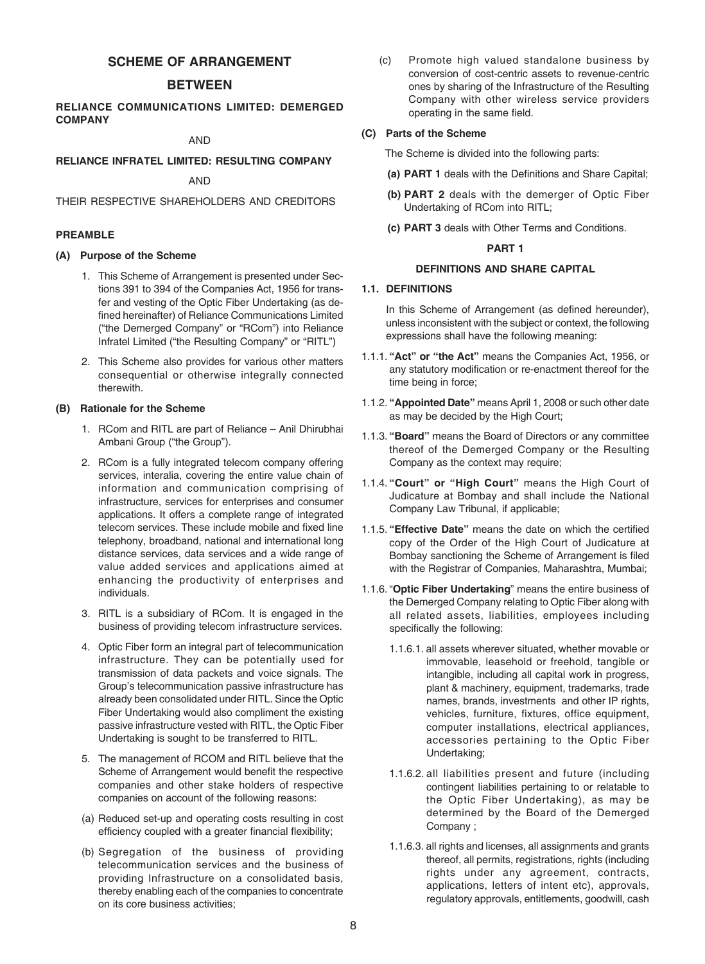#### **SCHEME OF ARRANGEMENT**

#### **BETWEEN**

#### **RELIANCE COMMUNICATIONS LIMITED: DEMERGED COMPANY**

#### AND

**RELIANCE INFRATEL LIMITED: RESULTING COMPANY**

#### AND

THEIR RESPECTIVE SHAREHOLDERS AND CREDITORS

#### **PREAMBLE**

#### **(A) Purpose of the Scheme**

- 1. This Scheme of Arrangement is presented under Sections 391 to 394 of the Companies Act, 1956 for transfer and vesting of the Optic Fiber Undertaking (as defined hereinafter) of Reliance Communications Limited ("the Demerged Company" or "RCom") into Reliance Infratel Limited ("the Resulting Company" or "RITL")
- 2. This Scheme also provides for various other matters consequential or otherwise integrally connected therewith.

#### **(B) Rationale for the Scheme**

- 1. RCom and RITL are part of Reliance Anil Dhirubhai Ambani Group ("the Group").
- 2. RCom is a fully integrated telecom company offering services, interalia, covering the entire value chain of information and communication comprising of infrastructure, services for enterprises and consumer applications. It offers a complete range of integrated telecom services. These include mobile and fixed line telephony, broadband, national and international long distance services, data services and a wide range of value added services and applications aimed at enhancing the productivity of enterprises and individuals.
- 3. RITL is a subsidiary of RCom. It is engaged in the business of providing telecom infrastructure services.
- 4. Optic Fiber form an integral part of telecommunication infrastructure. They can be potentially used for transmission of data packets and voice signals. The Group's telecommunication passive infrastructure has already been consolidated under RITL. Since the Optic Fiber Undertaking would also compliment the existing passive infrastructure vested with RITL, the Optic Fiber Undertaking is sought to be transferred to RITL.
- 5. The management of RCOM and RITL believe that the Scheme of Arrangement would benefit the respective companies and other stake holders of respective companies on account of the following reasons:
- (a) Reduced set-up and operating costs resulting in cost efficiency coupled with a greater financial flexibility;
- (b) Segregation of the business of providing telecommunication services and the business of providing Infrastructure on a consolidated basis, thereby enabling each of the companies to concentrate on its core business activities;

(c) Promote high valued standalone business by conversion of cost-centric assets to revenue-centric ones by sharing of the Infrastructure of the Resulting Company with other wireless service providers operating in the same field.

#### **(C) Parts of the Scheme**

The Scheme is divided into the following parts:

- **(a) PART 1** deals with the Definitions and Share Capital;
- **(b) PART 2** deals with the demerger of Optic Fiber Undertaking of RCom into RITL;
- **(c) PART 3** deals with Other Terms and Conditions.

#### **PART 1**

#### **DEFINITIONS AND SHARE CAPITAL**

#### **1.1. DEFINITIONS**

In this Scheme of Arrangement (as defined hereunder), unless inconsistent with the subject or context, the following expressions shall have the following meaning:

- 1.1.1. **"Act" or "the Act"** means the Companies Act, 1956, or any statutory modification or re-enactment thereof for the time being in force;
- 1.1.2. **"Appointed Date"** means April 1, 2008 or such other date as may be decided by the High Court;
- 1.1.3. **"Board"** means the Board of Directors or any committee thereof of the Demerged Company or the Resulting Company as the context may require;
- 1.1.4. **"Court" or "High Court"** means the High Court of Judicature at Bombay and shall include the National Company Law Tribunal, if applicable;
- 1.1.5. **"Effective Date"** means the date on which the certified copy of the Order of the High Court of Judicature at Bombay sanctioning the Scheme of Arrangement is filed with the Registrar of Companies, Maharashtra, Mumbai;
- 1.1.6. "**Optic Fiber Undertaking**" means the entire business of the Demerged Company relating to Optic Fiber along with all related assets, liabilities, employees including specifically the following:
	- 1.1.6.1. all assets wherever situated, whether movable or immovable, leasehold or freehold, tangible or intangible, including all capital work in progress, plant & machinery, equipment, trademarks, trade names, brands, investments and other IP rights, vehicles, furniture, fixtures, office equipment, computer installations, electrical appliances, accessories pertaining to the Optic Fiber Undertaking;
	- 1.1.6.2. all liabilities present and future (including contingent liabilities pertaining to or relatable to the Optic Fiber Undertaking), as may be determined by the Board of the Demerged Company ;
	- 1.1.6.3. all rights and licenses, all assignments and grants thereof, all permits, registrations, rights (including rights under any agreement, contracts, applications, letters of intent etc), approvals, regulatory approvals, entitlements, goodwill, cash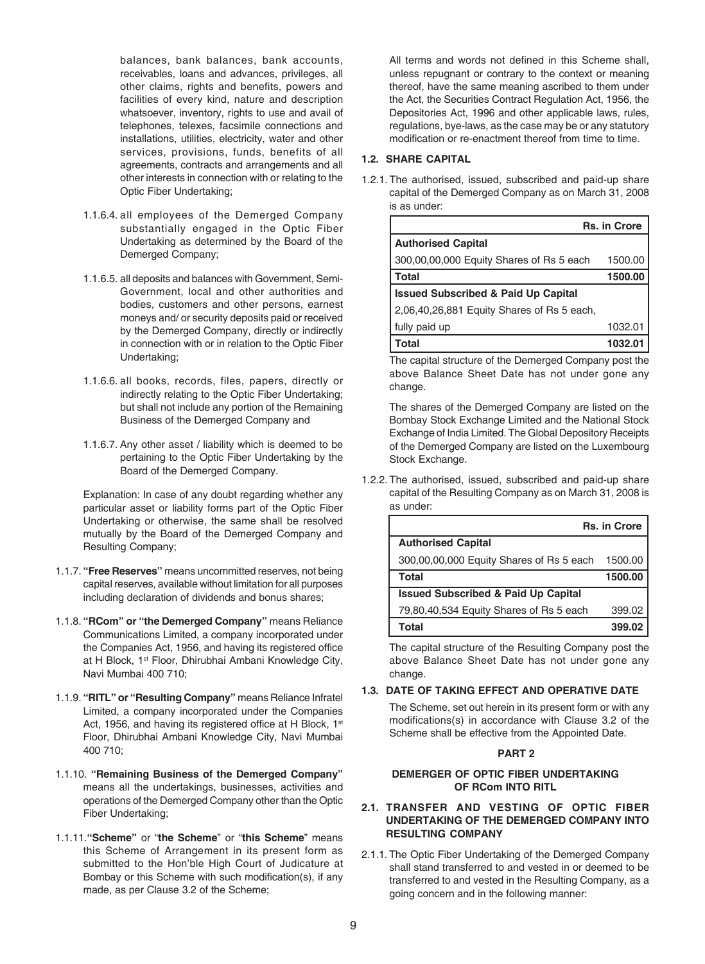balances, bank balances, bank accounts, receivables, loans and advances, privileges, all other claims, rights and benefits, powers and facilities of every kind, nature and description whatsoever, inventory, rights to use and avail of telephones, telexes, facsimile connections and installations, utilities, electricity, water and other services, provisions, funds, benefits of all agreements, contracts and arrangements and all other interests in connection with or relating to the Optic Fiber Undertaking;

- 1.1.6.4. all employees of the Demerged Company substantially engaged in the Optic Fiber Undertaking as determined by the Board of the Demerged Company;
- 1.1.6.5. all deposits and balances with Government, Semi-Government, local and other authorities and bodies, customers and other persons, earnest moneys and/ or security deposits paid or received by the Demerged Company, directly or indirectly in connection with or in relation to the Optic Fiber Undertaking;
- 1.1.6.6. all books, records, files, papers, directly or indirectly relating to the Optic Fiber Undertaking; but shall not include any portion of the Remaining Business of the Demerged Company and
- 1.1.6.7. Any other asset / liability which is deemed to be pertaining to the Optic Fiber Undertaking by the Board of the Demerged Company.

Explanation: In case of any doubt regarding whether any particular asset or liability forms part of the Optic Fiber Undertaking or otherwise, the same shall be resolved mutually by the Board of the Demerged Company and Resulting Company;

- 1.1.7. **"Free Reserves"** means uncommitted reserves, not being capital reserves, available without limitation for all purposes including declaration of dividends and bonus shares;
- 1.1.8. **"RCom" or "the Demerged Company"** means Reliance Communications Limited, a company incorporated under the Companies Act, 1956, and having its registered office at H Block, 1<sup>st</sup> Floor, Dhirubhai Ambani Knowledge City, Navi Mumbai 400 710;
- 1.1.9. **"RITL" or "Resulting Company"** means Reliance Infratel Limited, a company incorporated under the Companies Act, 1956, and having its registered office at H Block, 1st Floor, Dhirubhai Ambani Knowledge City, Navi Mumbai 400 710;
- 1.1.10. **"Remaining Business of the Demerged Company"** means all the undertakings, businesses, activities and operations of the Demerged Company other than the Optic Fiber Undertaking;
- 1.1.11.**"Scheme"** or "**the Scheme**" or "**this Scheme**" means this Scheme of Arrangement in its present form as submitted to the Hon'ble High Court of Judicature at Bombay or this Scheme with such modification(s), if any made, as per Clause 3.2 of the Scheme;

All terms and words not defined in this Scheme shall, unless repugnant or contrary to the context or meaning thereof, have the same meaning ascribed to them under the Act, the Securities Contract Regulation Act, 1956, the Depositories Act, 1996 and other applicable laws, rules, regulations, bye-laws, as the case may be or any statutory modification or re-enactment thereof from time to time.

#### **1.2. SHARE CAPITAL**

1.2.1. The authorised, issued, subscribed and paid-up share capital of the Demerged Company as on March 31, 2008 is as under:

|                                                | <b>Rs. in Crore</b> |  |  |
|------------------------------------------------|---------------------|--|--|
| <b>Authorised Capital</b>                      |                     |  |  |
| 300,00,00,000 Equity Shares of Rs 5 each       | 1500.00             |  |  |
| <b>Total</b>                                   | 1500.00             |  |  |
| <b>Issued Subscribed &amp; Paid Up Capital</b> |                     |  |  |
| 2,06,40,26,881 Equity Shares of Rs 5 each,     |                     |  |  |
| I fully paid up                                | 1032.0              |  |  |
| Total                                          | 1032.01             |  |  |

The capital structure of the Demerged Company post the above Balance Sheet Date has not under gone any change.

The shares of the Demerged Company are listed on the Bombay Stock Exchange Limited and the National Stock Exchange of India Limited. The Global Depository Receipts of the Demerged Company are listed on the Luxembourg Stock Exchange.

1.2.2. The authorised, issued, subscribed and paid-up share capital of the Resulting Company as on March 31, 2008 is as under:

|                                                | Rs. in Crore |
|------------------------------------------------|--------------|
| <b>Authorised Capital</b>                      |              |
| 300,00,00,000 Equity Shares of Rs 5 each       | 1500.00      |
| Total                                          | 1500.00      |
| <b>Issued Subscribed &amp; Paid Up Capital</b> |              |
| 79,80,40,534 Equity Shares of Rs 5 each        | 399.02       |
| Total                                          | 399.02       |

The capital structure of the Resulting Company post the above Balance Sheet Date has not under gone any change.

#### **1.3. DATE OF TAKING EFFECT AND OPERATIVE DATE**

The Scheme, set out herein in its present form or with any modifications(s) in accordance with Clause 3.2 of the Scheme shall be effective from the Appointed Date.

#### **PART 2**

#### **DEMERGER OF OPTIC FIBER UNDERTAKING OF RCom INTO RITL**

#### **2.1. TRANSFER AND VESTING OF OPTIC FIBER UNDERTAKING OF THE DEMERGED COMPANY INTO RESULTING COMPANY**

2.1.1. The Optic Fiber Undertaking of the Demerged Company shall stand transferred to and vested in or deemed to be transferred to and vested in the Resulting Company, as a going concern and in the following manner: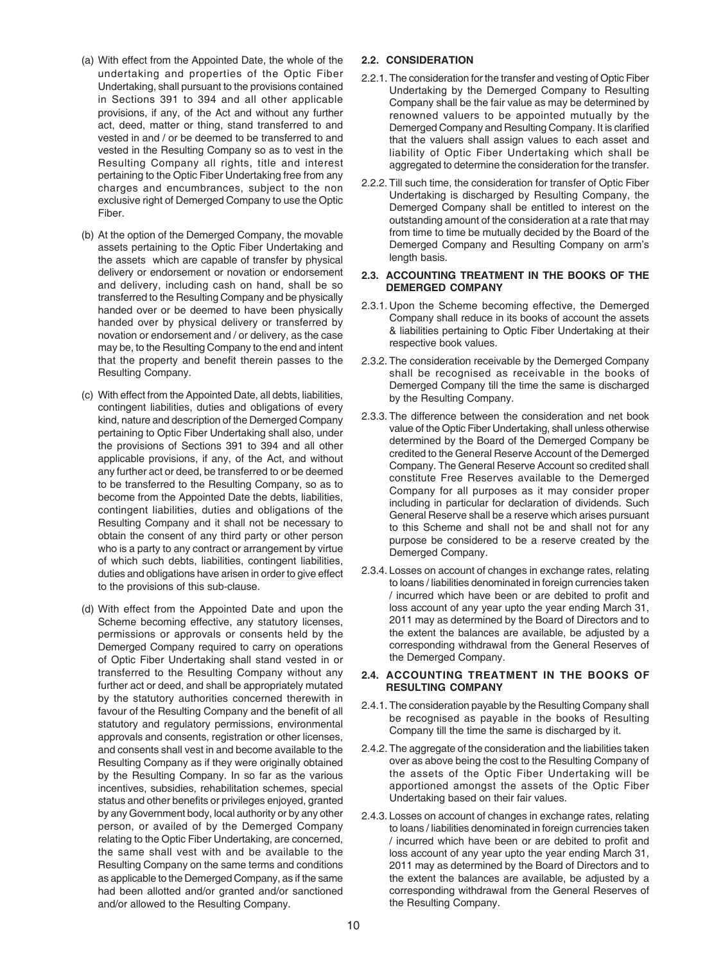- (a) With effect from the Appointed Date, the whole of the undertaking and properties of the Optic Fiber Undertaking, shall pursuant to the provisions contained in Sections 391 to 394 and all other applicable provisions, if any, of the Act and without any further act, deed, matter or thing, stand transferred to and vested in and / or be deemed to be transferred to and vested in the Resulting Company so as to vest in the Resulting Company all rights, title and interest pertaining to the Optic Fiber Undertaking free from any charges and encumbrances, subject to the non exclusive right of Demerged Company to use the Optic Fiber.
- (b) At the option of the Demerged Company, the movable assets pertaining to the Optic Fiber Undertaking and the assets which are capable of transfer by physical delivery or endorsement or novation or endorsement and delivery, including cash on hand, shall be so transferred to the Resulting Company and be physically handed over or be deemed to have been physically handed over by physical delivery or transferred by novation or endorsement and / or delivery, as the case may be, to the Resulting Company to the end and intent that the property and benefit therein passes to the Resulting Company.
- (c) With effect from the Appointed Date, all debts, liabilities, contingent liabilities, duties and obligations of every kind, nature and description of the Demerged Company pertaining to Optic Fiber Undertaking shall also, under the provisions of Sections 391 to 394 and all other applicable provisions, if any, of the Act, and without any further act or deed, be transferred to or be deemed to be transferred to the Resulting Company, so as to become from the Appointed Date the debts, liabilities, contingent liabilities, duties and obligations of the Resulting Company and it shall not be necessary to obtain the consent of any third party or other person who is a party to any contract or arrangement by virtue of which such debts, liabilities, contingent liabilities, duties and obligations have arisen in order to give effect to the provisions of this sub-clause.
- (d) With effect from the Appointed Date and upon the Scheme becoming effective, any statutory licenses, permissions or approvals or consents held by the Demerged Company required to carry on operations of Optic Fiber Undertaking shall stand vested in or transferred to the Resulting Company without any further act or deed, and shall be appropriately mutated by the statutory authorities concerned therewith in favour of the Resulting Company and the benefit of all statutory and regulatory permissions, environmental approvals and consents, registration or other licenses, and consents shall vest in and become available to the Resulting Company as if they were originally obtained by the Resulting Company. In so far as the various incentives, subsidies, rehabilitation schemes, special status and other benefits or privileges enjoyed, granted by any Government body, local authority or by any other person, or availed of by the Demerged Company relating to the Optic Fiber Undertaking, are concerned, the same shall vest with and be available to the Resulting Company on the same terms and conditions as applicable to the Demerged Company, as if the same had been allotted and/or granted and/or sanctioned and/or allowed to the Resulting Company.

#### **2.2. CONSIDERATION**

- 2.2.1. The consideration for the transfer and vesting of Optic Fiber Undertaking by the Demerged Company to Resulting Company shall be the fair value as may be determined by renowned valuers to be appointed mutually by the Demerged Company and Resulting Company. It is clarified that the valuers shall assign values to each asset and liability of Optic Fiber Undertaking which shall be aggregated to determine the consideration for the transfer.
- 2.2.2. Till such time, the consideration for transfer of Optic Fiber Undertaking is discharged by Resulting Company, the Demerged Company shall be entitled to interest on the outstanding amount of the consideration at a rate that may from time to time be mutually decided by the Board of the Demerged Company and Resulting Company on arm's length basis.

#### **2.3. ACCOUNTING TREATMENT IN THE BOOKS OF THE DEMERGED COMPANY**

- 2.3.1. Upon the Scheme becoming effective, the Demerged Company shall reduce in its books of account the assets & liabilities pertaining to Optic Fiber Undertaking at their respective book values.
- 2.3.2. The consideration receivable by the Demerged Company shall be recognised as receivable in the books of Demerged Company till the time the same is discharged by the Resulting Company.
- 2.3.3. The difference between the consideration and net book value of the Optic Fiber Undertaking, shall unless otherwise determined by the Board of the Demerged Company be credited to the General Reserve Account of the Demerged Company. The General Reserve Account so credited shall constitute Free Reserves available to the Demerged Company for all purposes as it may consider proper including in particular for declaration of dividends. Such General Reserve shall be a reserve which arises pursuant to this Scheme and shall not be and shall not for any purpose be considered to be a reserve created by the Demerged Company.
- 2.3.4. Losses on account of changes in exchange rates, relating to loans / liabilities denominated in foreign currencies taken / incurred which have been or are debited to profit and loss account of any year upto the year ending March 31, 2011 may as determined by the Board of Directors and to the extent the balances are available, be adjusted by a corresponding withdrawal from the General Reserves of the Demerged Company.

#### **2.4. ACCOUNTING TREATMENT IN THE BOOKS OF RESULTING COMPANY**

- 2.4.1. The consideration payable by the Resulting Company shall be recognised as payable in the books of Resulting Company till the time the same is discharged by it.
- 2.4.2. The aggregate of the consideration and the liabilities taken over as above being the cost to the Resulting Company of the assets of the Optic Fiber Undertaking will be apportioned amongst the assets of the Optic Fiber Undertaking based on their fair values.
- 2.4.3. Losses on account of changes in exchange rates, relating to loans / liabilities denominated in foreign currencies taken / incurred which have been or are debited to profit and loss account of any year upto the year ending March 31, 2011 may as determined by the Board of Directors and to the extent the balances are available, be adjusted by a corresponding withdrawal from the General Reserves of the Resulting Company.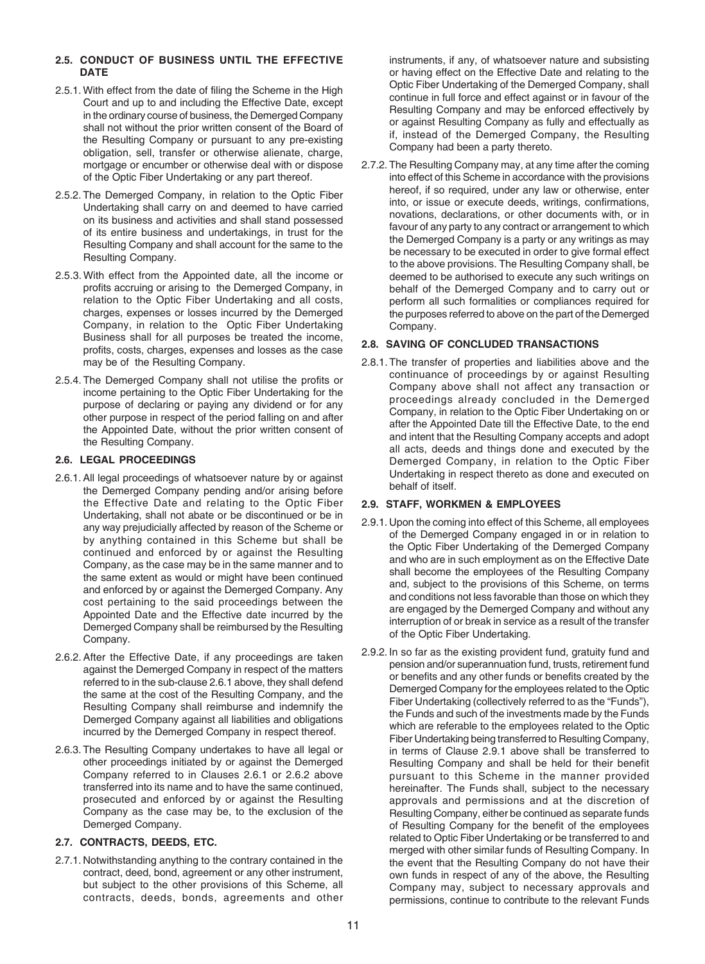#### **2.5. CONDUCT OF BUSINESS UNTIL THE EFFECTIVE DATE**

- 2.5.1. With effect from the date of filing the Scheme in the High Court and up to and including the Effective Date, except in the ordinary course of business, the Demerged Company shall not without the prior written consent of the Board of the Resulting Company or pursuant to any pre-existing obligation, sell, transfer or otherwise alienate, charge, mortgage or encumber or otherwise deal with or dispose of the Optic Fiber Undertaking or any part thereof.
- 2.5.2. The Demerged Company, in relation to the Optic Fiber Undertaking shall carry on and deemed to have carried on its business and activities and shall stand possessed of its entire business and undertakings, in trust for the Resulting Company and shall account for the same to the Resulting Company.
- 2.5.3. With effect from the Appointed date, all the income or profits accruing or arising to the Demerged Company, in relation to the Optic Fiber Undertaking and all costs, charges, expenses or losses incurred by the Demerged Company, in relation to the Optic Fiber Undertaking Business shall for all purposes be treated the income, profits, costs, charges, expenses and losses as the case may be of the Resulting Company.
- 2.5.4. The Demerged Company shall not utilise the profits or income pertaining to the Optic Fiber Undertaking for the purpose of declaring or paying any dividend or for any other purpose in respect of the period falling on and after the Appointed Date, without the prior written consent of the Resulting Company.

#### **2.6. LEGAL PROCEEDINGS**

- 2.6.1. All legal proceedings of whatsoever nature by or against the Demerged Company pending and/or arising before the Effective Date and relating to the Optic Fiber Undertaking, shall not abate or be discontinued or be in any way prejudicially affected by reason of the Scheme or by anything contained in this Scheme but shall be continued and enforced by or against the Resulting Company, as the case may be in the same manner and to the same extent as would or might have been continued and enforced by or against the Demerged Company. Any cost pertaining to the said proceedings between the Appointed Date and the Effective date incurred by the Demerged Company shall be reimbursed by the Resulting Company.
- 2.6.2.After the Effective Date, if any proceedings are taken against the Demerged Company in respect of the matters referred to in the sub-clause 2.6.1 above, they shall defend the same at the cost of the Resulting Company, and the Resulting Company shall reimburse and indemnify the Demerged Company against all liabilities and obligations incurred by the Demerged Company in respect thereof.
- 2.6.3. The Resulting Company undertakes to have all legal or other proceedings initiated by or against the Demerged Company referred to in Clauses 2.6.1 or 2.6.2 above transferred into its name and to have the same continued, prosecuted and enforced by or against the Resulting Company as the case may be, to the exclusion of the Demerged Company.

#### **2.7. CONTRACTS, DEEDS, ETC.**

2.7.1. Notwithstanding anything to the contrary contained in the contract, deed, bond, agreement or any other instrument, but subject to the other provisions of this Scheme, all contracts, deeds, bonds, agreements and other

instruments, if any, of whatsoever nature and subsisting or having effect on the Effective Date and relating to the Optic Fiber Undertaking of the Demerged Company, shall continue in full force and effect against or in favour of the Resulting Company and may be enforced effectively by or against Resulting Company as fully and effectually as if, instead of the Demerged Company, the Resulting Company had been a party thereto.

2.7.2. The Resulting Company may, at any time after the coming into effect of this Scheme in accordance with the provisions hereof, if so required, under any law or otherwise, enter into, or issue or execute deeds, writings, confirmations, novations, declarations, or other documents with, or in favour of any party to any contract or arrangement to which the Demerged Company is a party or any writings as may be necessary to be executed in order to give formal effect to the above provisions. The Resulting Company shall, be deemed to be authorised to execute any such writings on behalf of the Demerged Company and to carry out or perform all such formalities or compliances required for the purposes referred to above on the part of the Demerged Company.

#### **2.8. SAVING OF CONCLUDED TRANSACTIONS**

2.8.1. The transfer of properties and liabilities above and the continuance of proceedings by or against Resulting Company above shall not affect any transaction or proceedings already concluded in the Demerged Company, in relation to the Optic Fiber Undertaking on or after the Appointed Date till the Effective Date, to the end and intent that the Resulting Company accepts and adopt all acts, deeds and things done and executed by the Demerged Company, in relation to the Optic Fiber Undertaking in respect thereto as done and executed on behalf of itself.

#### **2.9. STAFF, WORKMEN & EMPLOYEES**

- 2.9.1. Upon the coming into effect of this Scheme, all employees of the Demerged Company engaged in or in relation to the Optic Fiber Undertaking of the Demerged Company and who are in such employment as on the Effective Date shall become the employees of the Resulting Company and, subject to the provisions of this Scheme, on terms and conditions not less favorable than those on which they are engaged by the Demerged Company and without any interruption of or break in service as a result of the transfer of the Optic Fiber Undertaking.
- 2.9.2. In so far as the existing provident fund, gratuity fund and pension and/or superannuation fund, trusts, retirement fund or benefits and any other funds or benefits created by the Demerged Company for the employees related to the Optic Fiber Undertaking (collectively referred to as the "Funds"), the Funds and such of the investments made by the Funds which are referable to the employees related to the Optic Fiber Undertaking being transferred to Resulting Company, in terms of Clause 2.9.1 above shall be transferred to Resulting Company and shall be held for their benefit pursuant to this Scheme in the manner provided hereinafter. The Funds shall, subject to the necessary approvals and permissions and at the discretion of Resulting Company, either be continued as separate funds of Resulting Company for the benefit of the employees related to Optic Fiber Undertaking or be transferred to and merged with other similar funds of Resulting Company. In the event that the Resulting Company do not have their own funds in respect of any of the above, the Resulting Company may, subject to necessary approvals and permissions, continue to contribute to the relevant Funds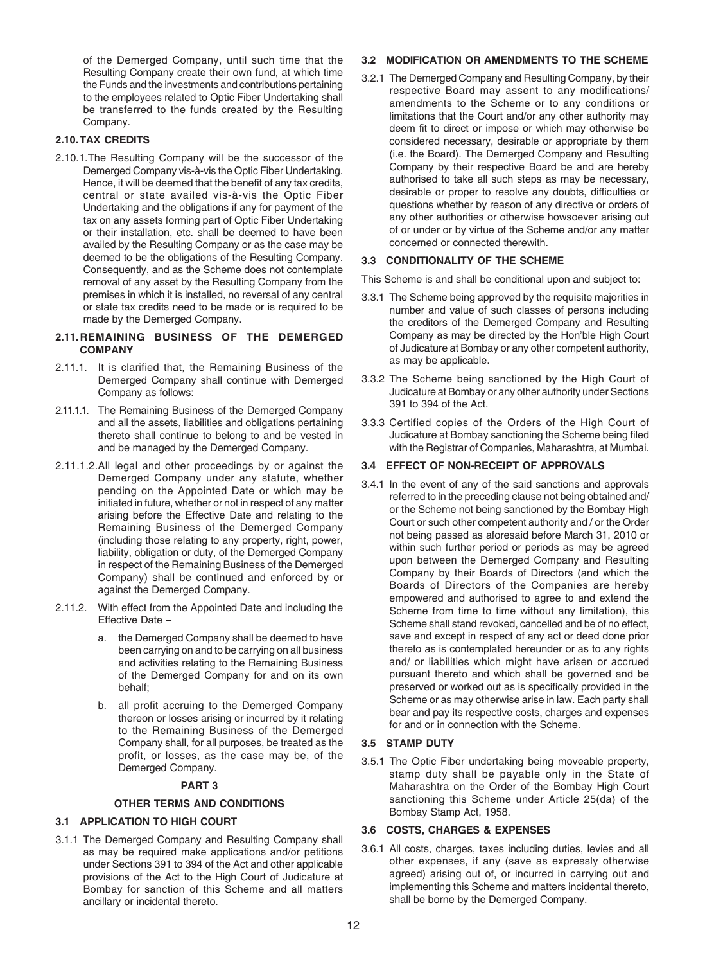of the Demerged Company, until such time that the Resulting Company create their own fund, at which time the Funds and the investments and contributions pertaining to the employees related to Optic Fiber Undertaking shall be transferred to the funds created by the Resulting Company.

#### **2.10.TAX CREDITS**

2.10.1.The Resulting Company will be the successor of the Demerged Company vis-à-vis the Optic Fiber Undertaking. Hence, it will be deemed that the benefit of any tax credits, central or state availed vis-à-vis the Optic Fiber Undertaking and the obligations if any for payment of the tax on any assets forming part of Optic Fiber Undertaking or their installation, etc. shall be deemed to have been availed by the Resulting Company or as the case may be deemed to be the obligations of the Resulting Company. Consequently, and as the Scheme does not contemplate removal of any asset by the Resulting Company from the premises in which it is installed, no reversal of any central or state tax credits need to be made or is required to be made by the Demerged Company.

#### **2.11.REMAINING BUSINESS OF THE DEMERGED COMPANY**

- 2.11.1. It is clarified that, the Remaining Business of the Demerged Company shall continue with Demerged Company as follows:
- 2.11.1.1. The Remaining Business of the Demerged Company and all the assets, liabilities and obligations pertaining thereto shall continue to belong to and be vested in and be managed by the Demerged Company.
- 2.11.1.2.All legal and other proceedings by or against the Demerged Company under any statute, whether pending on the Appointed Date or which may be initiated in future, whether or not in respect of any matter arising before the Effective Date and relating to the Remaining Business of the Demerged Company (including those relating to any property, right, power, liability, obligation or duty, of the Demerged Company in respect of the Remaining Business of the Demerged Company) shall be continued and enforced by or against the Demerged Company.
- 2.11.2. With effect from the Appointed Date and including the Effective Date –
	- a. the Demerged Company shall be deemed to have been carrying on and to be carrying on all business and activities relating to the Remaining Business of the Demerged Company for and on its own behalf;
	- b. all profit accruing to the Demerged Company thereon or losses arising or incurred by it relating to the Remaining Business of the Demerged Company shall, for all purposes, be treated as the profit, or losses, as the case may be, of the Demerged Company.

#### **PART 3**

#### **OTHER TERMS AND CONDITIONS**

#### **3.1 APPLICATION TO HIGH COURT**

3.1.1 The Demerged Company and Resulting Company shall as may be required make applications and/or petitions under Sections 391 to 394 of the Act and other applicable provisions of the Act to the High Court of Judicature at Bombay for sanction of this Scheme and all matters ancillary or incidental thereto.

#### **3.2 MODIFICATION OR AMENDMENTS TO THE SCHEME**

3.2.1 The Demerged Company and Resulting Company, by their respective Board may assent to any modifications/ amendments to the Scheme or to any conditions or limitations that the Court and/or any other authority may deem fit to direct or impose or which may otherwise be considered necessary, desirable or appropriate by them (i.e. the Board). The Demerged Company and Resulting Company by their respective Board be and are hereby authorised to take all such steps as may be necessary, desirable or proper to resolve any doubts, difficulties or questions whether by reason of any directive or orders of any other authorities or otherwise howsoever arising out of or under or by virtue of the Scheme and/or any matter concerned or connected therewith.

#### **3.3 CONDITIONALITY OF THE SCHEME**

This Scheme is and shall be conditional upon and subject to:

- 3.3.1 The Scheme being approved by the requisite majorities in number and value of such classes of persons including the creditors of the Demerged Company and Resulting Company as may be directed by the Hon'ble High Court of Judicature at Bombay or any other competent authority, as may be applicable.
- 3.3.2 The Scheme being sanctioned by the High Court of Judicature at Bombay or any other authority under Sections 391 to 394 of the Act.
- 3.3.3 Certified copies of the Orders of the High Court of Judicature at Bombay sanctioning the Scheme being filed with the Registrar of Companies, Maharashtra, at Mumbai.

#### **3.4 EFFECT OF NON-RECEIPT OF APPROVALS**

3.4.1 In the event of any of the said sanctions and approvals referred to in the preceding clause not being obtained and/ or the Scheme not being sanctioned by the Bombay High Court or such other competent authority and / or the Order not being passed as aforesaid before March 31, 2010 or within such further period or periods as may be agreed upon between the Demerged Company and Resulting Company by their Boards of Directors (and which the Boards of Directors of the Companies are hereby empowered and authorised to agree to and extend the Scheme from time to time without any limitation), this Scheme shall stand revoked, cancelled and be of no effect, save and except in respect of any act or deed done prior thereto as is contemplated hereunder or as to any rights and/ or liabilities which might have arisen or accrued pursuant thereto and which shall be governed and be preserved or worked out as is specifically provided in the Scheme or as may otherwise arise in law. Each party shall bear and pay its respective costs, charges and expenses for and or in connection with the Scheme.

#### **3.5 STAMP DUTY**

3.5.1 The Optic Fiber undertaking being moveable property, stamp duty shall be payable only in the State of Maharashtra on the Order of the Bombay High Court sanctioning this Scheme under Article 25(da) of the Bombay Stamp Act, 1958.

#### **3.6 COSTS, CHARGES & EXPENSES**

3.6.1 All costs, charges, taxes including duties, levies and all other expenses, if any (save as expressly otherwise agreed) arising out of, or incurred in carrying out and implementing this Scheme and matters incidental thereto, shall be borne by the Demerged Company.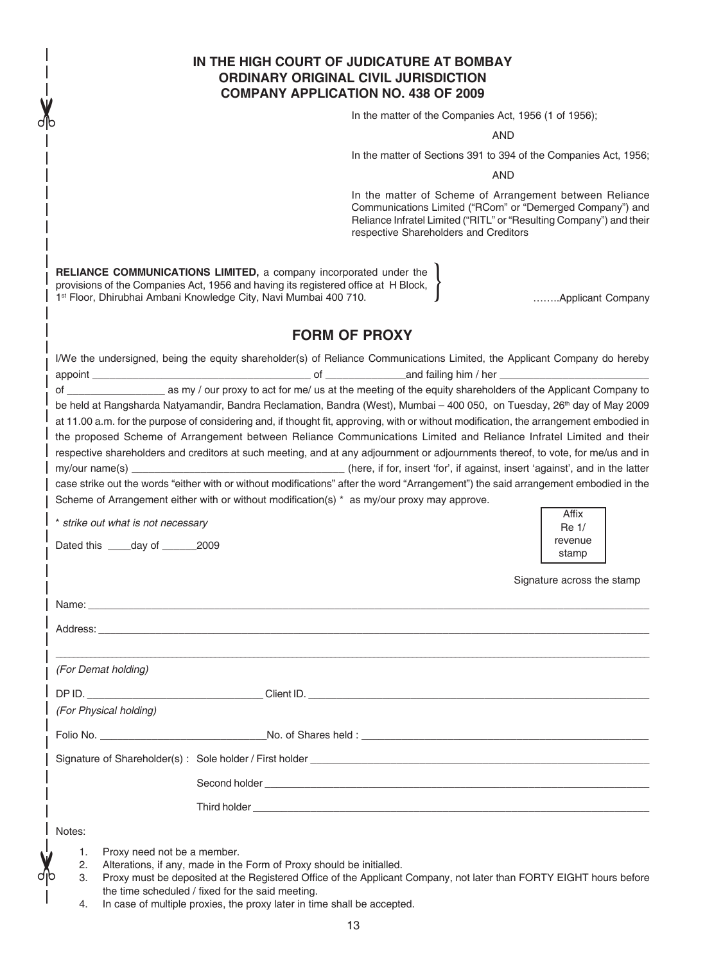## **IN THE HIGH COURT OF JUDICATURE AT BOMBAY ORDINARY ORIGINAL CIVIL JURISDICTION COMPANY APPLICATION NO. 438 OF 2009**

In the matter of the Companies Act, 1956 (1 of 1956);

AND

In the matter of Sections 391 to 394 of the Companies Act, 1956;

AND

In the matter of Scheme of Arrangement between Reliance Communications Limited ("RCom" or "Demerged Company") and Reliance Infratel Limited ("RITL" or "Resulting Company") and their respective Shareholders and Creditors

**RELIANCE COMMUNICATIONS LIMITED,** a company incorporated under the HELIANCE COMMUNICATIONS LIMITED, a company incorporated under the<br>provisions of the Companies Act, 1956 and having its registered office at H Block,<br>1<sup>st</sup> Floor, Dhirubhai Ambani Knowledge City, Navi Mumbai 400 710.

 $\frac{1}{\sqrt{2}}$ 

# **FORM OF PROXY**

|     | I/We the undersigned, being the equity shareholder(s) of Reliance Communications Limited, the Applicant Company do hereby                                                                                                                                                                                                                                                                                                                                                                                                                                                                                                                                                                                                                                                      |
|-----|--------------------------------------------------------------------------------------------------------------------------------------------------------------------------------------------------------------------------------------------------------------------------------------------------------------------------------------------------------------------------------------------------------------------------------------------------------------------------------------------------------------------------------------------------------------------------------------------------------------------------------------------------------------------------------------------------------------------------------------------------------------------------------|
|     |                                                                                                                                                                                                                                                                                                                                                                                                                                                                                                                                                                                                                                                                                                                                                                                |
|     | be held at Rangsharda Natyamandir, Bandra Reclamation, Bandra (West), Mumbai - 400 050, on Tuesday, 26 <sup>th</sup> day of May 2009<br>at 11.00 a.m. for the purpose of considering and, if thought fit, approving, with or without modification, the arrangement embodied in<br>the proposed Scheme of Arrangement between Reliance Communications Limited and Reliance Infratel Limited and their<br>respective shareholders and creditors at such meeting, and at any adjournment or adjournments thereof, to vote, for me/us and in<br>case strike out the words "either with or without modifications" after the word "Arrangement") the said arrangement embodied in the<br>Scheme of Arrangement either with or without modification(s) * as my/our proxy may approve. |
|     | Affix<br>strike out what is not necessary                                                                                                                                                                                                                                                                                                                                                                                                                                                                                                                                                                                                                                                                                                                                      |
|     | Re 1/<br>revenue<br>Dated this _____ day of _______ 2009<br>stamp                                                                                                                                                                                                                                                                                                                                                                                                                                                                                                                                                                                                                                                                                                              |
|     | Signature across the stamp                                                                                                                                                                                                                                                                                                                                                                                                                                                                                                                                                                                                                                                                                                                                                     |
|     |                                                                                                                                                                                                                                                                                                                                                                                                                                                                                                                                                                                                                                                                                                                                                                                |
|     |                                                                                                                                                                                                                                                                                                                                                                                                                                                                                                                                                                                                                                                                                                                                                                                |
|     | (For Demat holding)                                                                                                                                                                                                                                                                                                                                                                                                                                                                                                                                                                                                                                                                                                                                                            |
|     | DPID. Client ID. Client ID.                                                                                                                                                                                                                                                                                                                                                                                                                                                                                                                                                                                                                                                                                                                                                    |
|     | (For Physical holding)                                                                                                                                                                                                                                                                                                                                                                                                                                                                                                                                                                                                                                                                                                                                                         |
|     |                                                                                                                                                                                                                                                                                                                                                                                                                                                                                                                                                                                                                                                                                                                                                                                |
|     | Signature of Shareholder(s): Sole holder / First holder example and the state of the state of Shareholder(s): Sole holder / First holder                                                                                                                                                                                                                                                                                                                                                                                                                                                                                                                                                                                                                                       |
|     | Second holder and the state of the state of the state of the state of the state of the state of the state of the state of the state of the state of the state of the state of the state of the state of the state of the state                                                                                                                                                                                                                                                                                                                                                                                                                                                                                                                                                 |
|     | Third holder experience that the contract of the contract of the contract of the contract of the contract of the contract of the contract of the contract of the contract of the contract of the contract of the contract of t                                                                                                                                                                                                                                                                                                                                                                                                                                                                                                                                                 |
|     | Notes:                                                                                                                                                                                                                                                                                                                                                                                                                                                                                                                                                                                                                                                                                                                                                                         |
| dıb | Proxy need not be a member.<br>1.<br>2.<br>Alterations, if any, made in the Form of Proxy should be initialled.<br>3.<br>Proxy must be deposited at the Registered Office of the Applicant Company, not later than FORTY EIGHT hours before<br>the time scheduled / fixed for the said meeting.                                                                                                                                                                                                                                                                                                                                                                                                                                                                                |

4. In case of multiple proxies, the proxy later in time shall be accepted.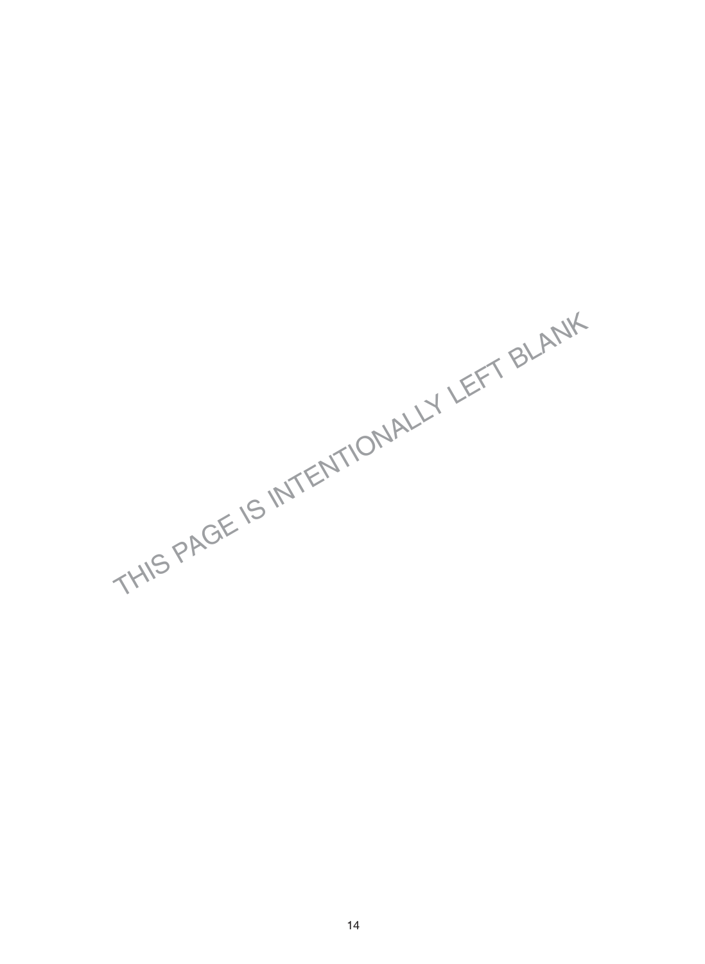THIS PAGE IS INTENTIONALLY LEFT BLANK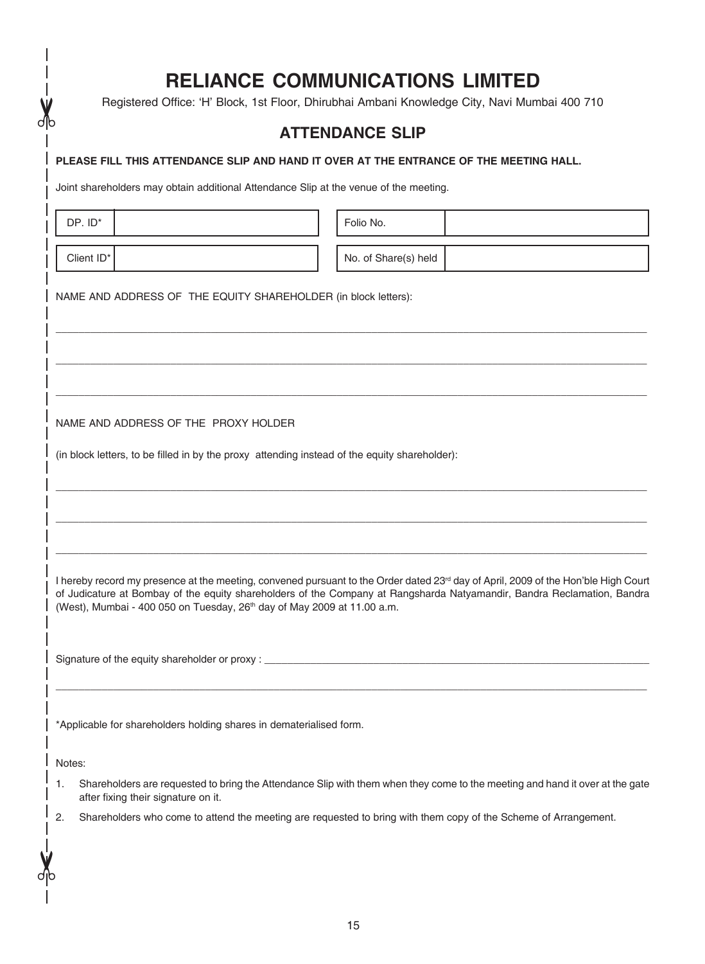# **RELIANCE COMMUNICATIONS LIMITED**

Registered Office: 'H' Block, 1st Floor, Dhirubhai Ambani Knowledge City, Navi Mumbai 400 710

# **ATTENDANCE SLIP**

#### **PLEASE FILL THIS ATTENDANCE SLIP AND HAND IT OVER AT THE ENTRANCE OF THE MEETING HALL.**

Joint shareholders may obtain additional Attendance Slip at the venue of the meeting.

| DP.ID*     |  | Folio No.            |  |
|------------|--|----------------------|--|
| Client ID* |  | No. of Share(s) held |  |

 $\_$  , and the state of the state of the state of the state of the state of the state of the state of the state of the state of the state of the state of the state of the state of the state of the state of the state of the

 $\_$  , and the set of the set of the set of the set of the set of the set of the set of the set of the set of the set of the set of the set of the set of the set of the set of the set of the set of the set of the set of th

 $\_$  , and the state of the state of the state of the state of the state of the state of the state of the state of the state of the state of the state of the state of the state of the state of the state of the state of the

 $\_$  , and the state of the state of the state of the state of the state of the state of the state of the state of the state of the state of the state of the state of the state of the state of the state of the state of the

 $\_$  , and the set of the set of the set of the set of the set of the set of the set of the set of the set of the set of the set of the set of the set of the set of the set of the set of the set of the set of the set of th

 $\_$  , and the state of the state of the state of the state of the state of the state of the state of the state of the state of the state of the state of the state of the state of the state of the state of the state of the

NAME AND ADDRESS OF THE EQUITY SHAREHOLDER (in block letters):

NAME AND ADDRESS OF THE PROXY HOLDER

(in block letters, to be filled in by the proxy attending instead of the equity shareholder):

I hereby record my presence at the meeting, convened pursuant to the Order dated 23<sup>rd</sup> day of April, 2009 of the Hon'ble High Court of Judicature at Bombay of the equity shareholders of the Company at Rangsharda Natyamandir, Bandra Reclamation, Bandra (West), Mumbai - 400 050 on Tuesday,  $26<sup>th</sup>$  day of May 2009 at 11.00 a.m.

 $\_$  , and the state of the state of the state of the state of the state of the state of the state of the state of the state of the state of the state of the state of the state of the state of the state of the state of the

Signature of the equity shareholder or proxy : \_

\*Applicable for shareholders holding shares in dematerialised form.

Notes:

 $\sum_{\text{obs}}$ 

 $\frac{1}{\sqrt{2}}$ 

1. Shareholders are requested to bring the Attendance Slip with them when they come to the meeting and hand it over at the gate after fixing their signature on it.

2. Shareholders who come to attend the meeting are requested to bring with them copy of the Scheme of Arrangement.